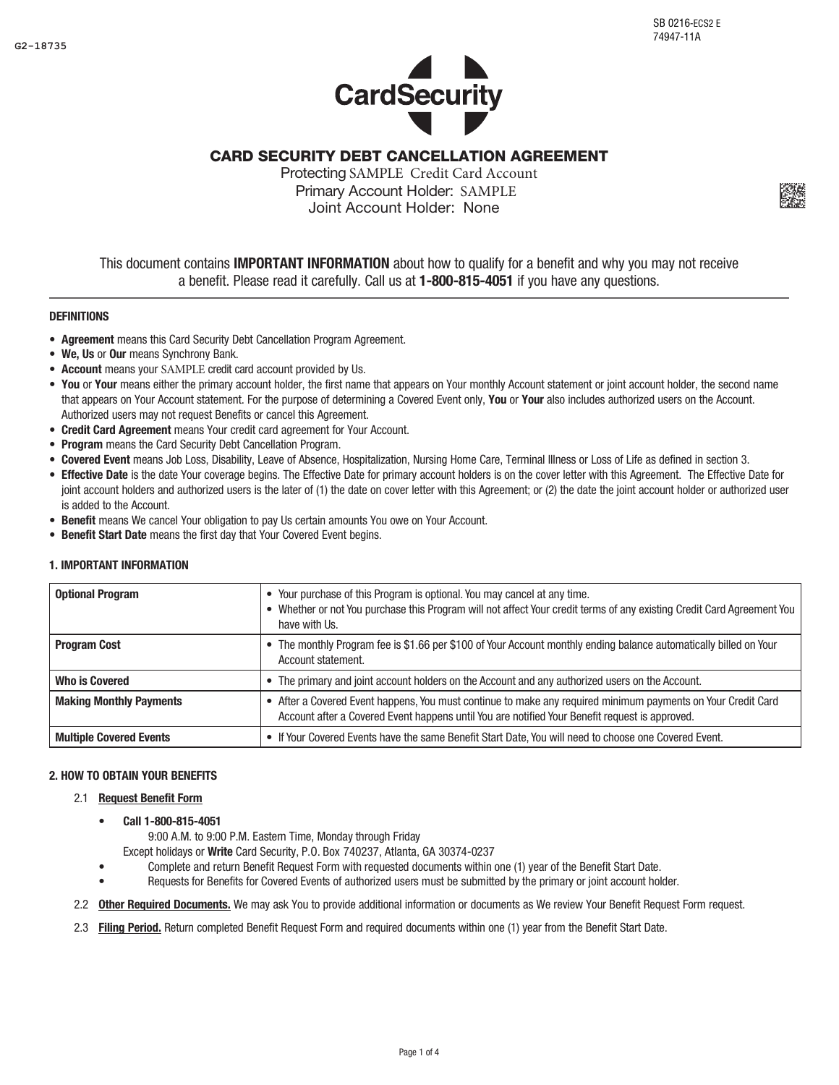$_{\rm P2}$  $\mathbf{r}$  $\mathbb{R}$ 903 +)!dp=xQ,Hp}#e4+ AAAAAAAAAAAAAAAAAAAAAA



CARD SECURITY DEBT CANCELLATION AGREEMENT

Protecting SAMPLE Credit Card Account Primary Account Holder: SAMPLE Joint Account Holder: None



# **DEFINITIONS**

- Agreement means this Card Security Debt Cancellation Program Agreement.
- We, Us or Our means Synchrony Bank.
- Account means your SAMPLE credit card account provided by Us.
- You or Your means either the primary account holder, the first name that appears on Your monthly Account statement or joint account holder, the second name that appears on Your Account statement. For the purpose of determining a Covered Event only, You or Your also includes authorized users on the Account. Authorized users may not request Benefits or cancel this Agreement.
- Credit Card Agreement means Your credit card agreement for Your Account.
- Program means the Card Security Debt Cancellation Program.
- • Covered Event means Job Loss, Disability, Leave of Absence, Hospitalization, Nursing Home Care, Terminal Illness or Loss of Life as defined in section 3.
- Effective Date is the date Your coverage begins. The Effective Date for primary account holders is on the cover letter with this Agreement. The Effective Date for joint account holders and authorized users is the later of (1) the date on cover letter with this Agreement; or (2) the date the joint account holder or authorized user is added to the Account.
- Benefit means We cancel Your obligation to pay Us certain amounts You owe on Your Account.
- Benefit Start Date means the first day that Your Covered Event begins.

# 1. IMPORTANT INFORMATION

| <b>Optional Program</b>        | • Your purchase of this Program is optional. You may cancel at any time.<br>• Whether or not You purchase this Program will not affect Your credit terms of any existing Credit Card Agreement You<br>have with Us. |
|--------------------------------|---------------------------------------------------------------------------------------------------------------------------------------------------------------------------------------------------------------------|
| <b>Program Cost</b>            | • The monthly Program fee is \$1.66 per \$100 of Your Account monthly ending balance automatically billed on Your<br>Account statement.                                                                             |
| <b>Who is Covered</b>          | • The primary and joint account holders on the Account and any authorized users on the Account.                                                                                                                     |
| <b>Making Monthly Payments</b> | After a Covered Event happens, You must continue to make any required minimum payments on Your Credit Card<br>Account after a Covered Event happens until You are notified Your Benefit request is approved.        |
| <b>Multiple Covered Events</b> | • If Your Covered Events have the same Benefit Start Date, You will need to choose one Covered Event.                                                                                                               |

## 2. HOW TO OBTAIN YOUR BENEFITS

## 2.1 Request Benefit Form

Call 1-800-815-4051

9:00 A.M. to 9:00 P.M. Eastern Time, Monday through Friday

Except holidays or Write Card Security, P.O. Box 740237, Atlanta, GA 30374-0237

- Complete and return Benefit Request Form with requested documents within one (1) year of the Benefit Start Date.
- Requests for Benefits for Covered Events of authorized users must be submitted by the primary or joint account holder.
- 2.2 Other Required Documents. We may ask You to provide additional information or documents as We review Your Benefit Request Form request.
- 2.3 Filing Period. Return completed Benefit Request Form and required documents within one (1) year from the Benefit Start Date.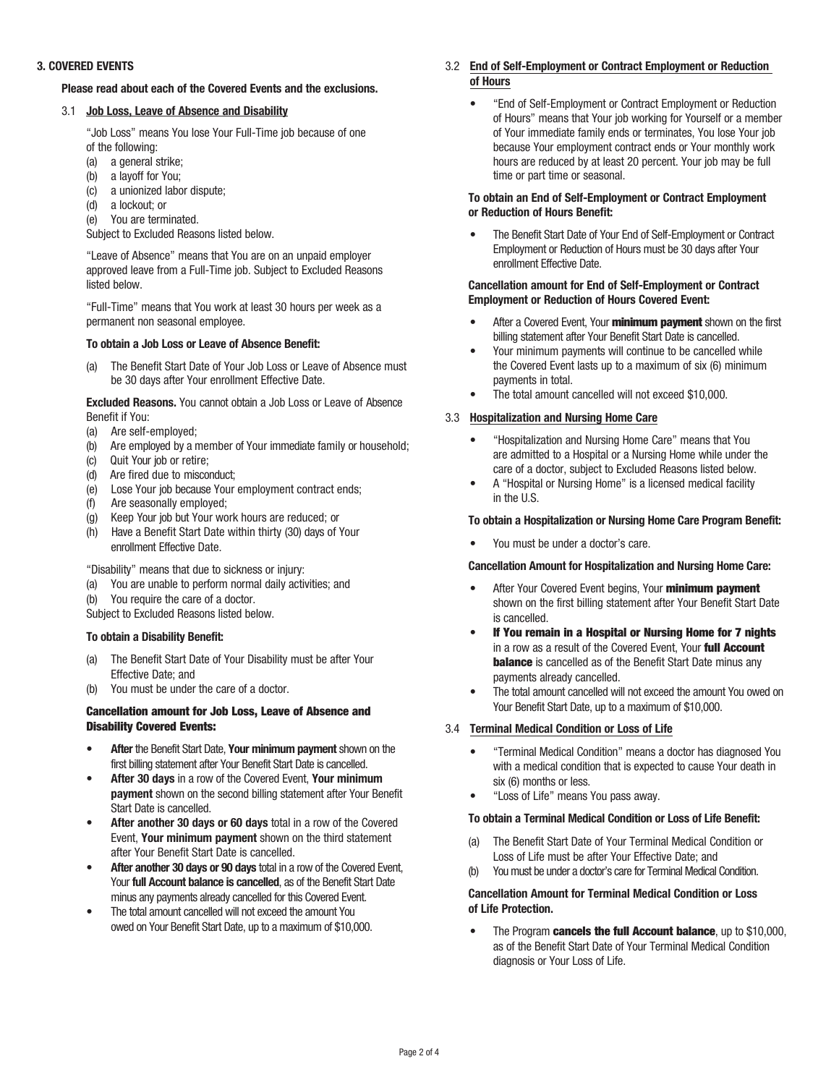## 3. COVERED EVENTS

## Please read about each of the Covered Events and the exclusions.

## 3.1 Job Loss, Leave of Absence and Disability

"Job Loss" means You lose Your Full-Time job because of one of the following:

- (a) a general strike;
- (b) a layoff for You;
- (c) a unionized labor dispute;
- (d) a lockout; or
- (e) You are terminated.

Subject to Excluded Reasons listed below.

"Leave of Absence" means that You are on an unpaid employer approved leave from a Full-Time job. Subject to Excluded Reasons listed below.

"Full-Time" means that You work at least 30 hours per week as a permanent non seasonal employee.

## To obtain a Job Loss or Leave of Absence Benefit:

(a) The Benefit Start Date of Your Job Loss or Leave of Absence must be 30 days after Your enrollment Effective Date.

**Excluded Reasons.** You cannot obtain a Job Loss or Leave of Absence Benefit if You:

- (a) Are self-employed;
- (b) Are employed by a member of Your immediate family or household;
- (c) Quit Your job or retire;
- (d) Are fired due to misconduct;
- (e) Lose Your job because Your employment contract ends;
- (f) Are seasonally employed;
- (g) Keep Your job but Your work hours are reduced; or
- (h) Have a Benefit Start Date within thirty (30) days of Your enrollment Effective Date.

"Disability" means that due to sickness or injury:

- (a) You are unable to perform normal daily activities; and
- (b) You require the care of a doctor.

Subject to Excluded Reasons listed below.

#### To obtain a Disability Benefit:

- (a) The Benefit Start Date of Your Disability must be after Your Effective Date; and
- (b) You must be under the care of a doctor.

## Cancellation amount for Job Loss, Leave of Absence and Disability Covered Events:

- After the Benefit Start Date, Your minimum payment shown on the first billing statement after Your Benefit Start Date is cancelled.
- After 30 days in a row of the Covered Event, Your minimum payment shown on the second billing statement after Your Benefit Start Date is cancelled.
- After another 30 days or 60 days total in a row of the Covered Event, Your minimum payment shown on the third statement after Your Benefit Start Date is cancelled.
- After another 30 days or 90 days total in a row of the Covered Event, Your full Account balance is cancelled, as of the Benefit Start Date minus any payments already cancelled for this Covered Event.
- The total amount cancelled will not exceed the amount You owed on Your Benefit Start Date, up to a maximum of \$10,000.
- 3.2 End of Self-Employment or Contract Employment or Reduction of Hours
	- • "End of Self-Employment or Contract Employment or Reduction of Hours" means that Your job working for Yourself or a member of Your immediate family ends or terminates, You lose Your job because Your employment contract ends or Your monthly work hours are reduced by at least 20 percent. Your job may be full time or part time or seasonal.

#### To obtain an End of Self-Employment or Contract Employment or Reduction of Hours Benefit:

The Benefit Start Date of Your End of Self-Employment or Contract Employment or Reduction of Hours must be 30 days after Your enrollment Effective Date.

## Cancellation amount for End of Self-Employment or Contract Employment or Reduction of Hours Covered Event:

- After a Covered Event. Your **minimum payment** shown on the first billing statement after Your Benefit Start Date is cancelled.
- Your minimum payments will continue to be cancelled while the Covered Event lasts up to a maximum of six (6) minimum payments in total.
- The total amount cancelled will not exceed \$10,000.

# 3.3 Hospitalization and Nursing Home Care

- "Hospitalization and Nursing Home Care" means that You are admitted to a Hospital or a Nursing Home while under the care of a doctor, subject to Excluded Reasons listed below.
- A "Hospital or Nursing Home" is a licensed medical facility in the U.S.

## To obtain a Hospitalization or Nursing Home Care Program Benefit:

You must be under a doctor's care.

#### Cancellation Amount for Hospitalization and Nursing Home Care:

- After Your Covered Event begins, Your minimum payment shown on the first billing statement after Your Benefit Start Date is cancelled.
- If You remain in a Hospital or Nursing Home for 7 nights in a row as a result of the Covered Event, Your full Account **balance** is cancelled as of the Benefit Start Date minus any payments already cancelled.
- The total amount cancelled will not exceed the amount You owed on Your Benefit Start Date, up to a maximum of \$10,000.

# 3.4 Terminal Medical Condition or Loss of Life

- "Terminal Medical Condition" means a doctor has diagnosed You with a medical condition that is expected to cause Your death in six (6) months or less.
- "Loss of Life" means You pass away.

#### To obtain a Terminal Medical Condition or Loss of Life Benefit:

- (a) The Benefit Start Date of Your Terminal Medical Condition or Loss of Life must be after Your Effective Date; and
- (b) You must be under a doctor's care for Terminal Medical Condition.

# Cancellation Amount for Terminal Medical Condition or Loss of Life Protection.

• The Program **cancels the full Account balance**, up to \$10,000, as of the Benefit Start Date of Your Terminal Medical Condition diagnosis or Your Loss of Life.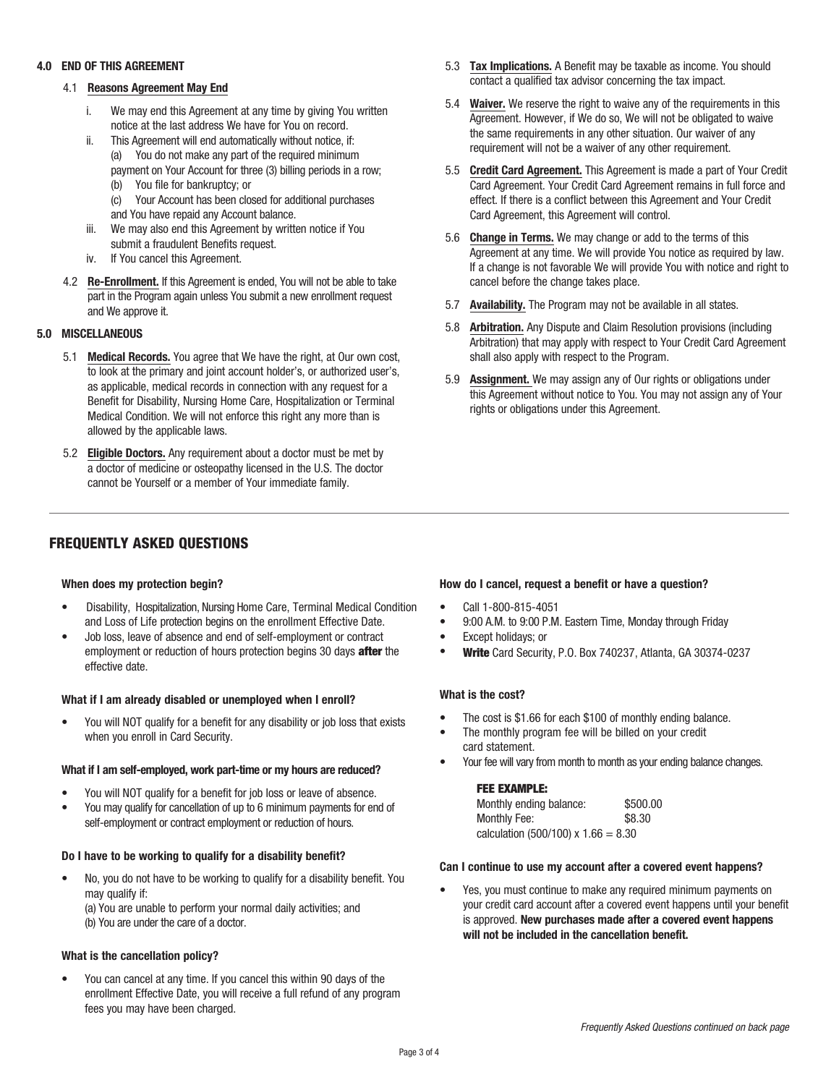## 4.0 END OF THIS AGREEMENT

# 4.1 Reasons Agreement May End

- i. We may end this Agreement at any time by giving You written notice at the last address We have for You on record.
- ii. This Agreement will end automatically without notice, if: (a) You do not make any part of the required minimum payment on Your Account for three (3) billing periods in a row;
	- (b) You file for bankruptcy; or
	- (c) Your Account has been closed for additional purchases and You have repaid any Account balance.
- iii. We may also end this Agreement by written notice if You submit a fraudulent Benefits request.
- iv. If You cancel this Agreement.
- 4.2 Re-Enrollment. If this Agreement is ended, You will not be able to take part in the Program again unless You submit a new enrollment request and We approve it.

# 5.0 MISCELLANEOUS

- 5.1 Medical Records. You agree that We have the right, at Our own cost, to look at the primary and joint account holder's, or authorized user's, as applicable, medical records in connection with any request for a Benefit for Disability, Nursing Home Care, Hospitalization or Terminal Medical Condition. We will not enforce this right any more than is allowed by the applicable laws.
- 5.2 Eligible Doctors. Any requirement about a doctor must be met by a doctor of medicine or osteopathy licensed in the U.S. The doctor cannot be Yourself or a member of Your immediate family.

# FREQUENTLY ASKED QUESTIONS

# When does my protection begin?

- Disability, Hospitalization, Nursing Home Care, Terminal Medical Condition and Loss of Life protection begins on the enrollment Effective Date.
- Job loss, leave of absence and end of self-employment or contract employment or reduction of hours protection begins 30 days **after** the effective date.

# What if I am already disabled or unemployed when I enroll?

You will NOT qualify for a benefit for any disability or job loss that exists when you enroll in Card Security.

#### What if I am self-employed, work part-time or my hours are reduced?

- You will NOT qualify for a benefit for job loss or leave of absence.
- You may qualify for cancellation of up to 6 minimum payments for end of self-employment or contract employment or reduction of hours.

# Do I have to be working to qualify for a disability benefit?

No, you do not have to be working to qualify for a disability benefit. You may qualify if:

(a) You are unable to perform your normal daily activities; and (b) You are under the care of a doctor.

# What is the cancellation policy?

• You can cancel at any time. If you cancel this within 90 days of the enrollment Effective Date, you will receive a full refund of any program fees you may have been charged.

- 5.3 Tax Implications. A Benefit may be taxable as income. You should contact a qualified tax advisor concerning the tax impact.
- 5.4 Waiver. We reserve the right to waive any of the requirements in this Agreement. However, if We do so, We will not be obligated to waive the same requirements in any other situation. Our waiver of any requirement will not be a waiver of any other requirement.
- 5.5 Credit Card Agreement. This Agreement is made a part of Your Credit Card Agreement. Your Credit Card Agreement remains in full force and effect. If there is a conflict between this Agreement and Your Credit Card Agreement, this Agreement will control.
- 5.6 **Change in Terms.** We may change or add to the terms of this Agreement at any time. We will provide You notice as required by law. If a change is not favorable We will provide You with notice and right to cancel before the change takes place.
- 5.7 Availability. The Program may not be available in all states.
- 5.8 Arbitration. Any Dispute and Claim Resolution provisions (including Arbitration) that may apply with respect to Your Credit Card Agreement shall also apply with respect to the Program.
- 5.9 **Assignment.** We may assign any of Our rights or obligations under this Agreement without notice to You. You may not assign any of Your rights or obligations under this Agreement.

# How do I cancel, request a benefit or have a question?

- Call 1-800-815-4051
- • 9:00 A.M. to 9:00 P.M. Eastern Time, Monday through Friday
- Except holidays; or
- • Write Card Security, P.O. Box 740237, Atlanta, GA 30374-0237

# What is the cost?

- The cost is \$1.66 for each \$100 of monthly ending balance.
- The monthly program fee will be billed on your credit card statement.
- Your fee will vary from month to month as your ending balance changes.

#### FEE EXAMPLE:

| Monthly ending balance:               | \$500.00 |
|---------------------------------------|----------|
| Monthly Fee:                          | \$8.30   |
| calculation (500/100) x $1.66 = 8.30$ |          |

#### Can I continue to use my account after a covered event happens?

Yes, you must continue to make any required minimum payments on your credit card account after a covered event happens until your benefit is approved. New purchases made after a covered event happens will not be included in the cancellation benefit.